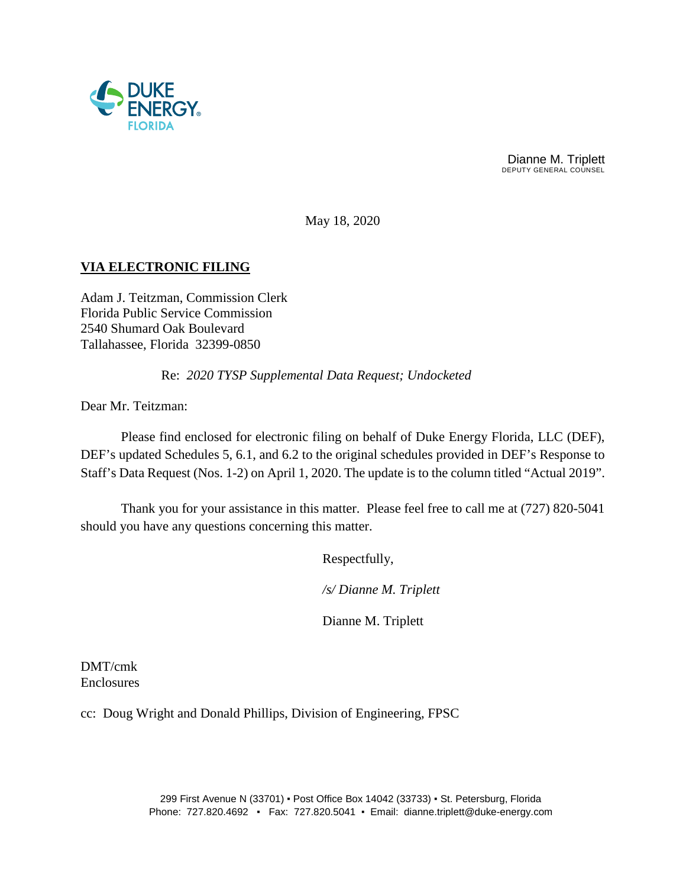

Dianne M. Triplett DEPUTY GENERAL COUNSEL

May 18, 2020

# **VIA ELECTRONIC FILING**

Adam J. Teitzman, Commission Clerk Florida Public Service Commission 2540 Shumard Oak Boulevard Tallahassee, Florida 32399-0850

Re: *2020 TYSP Supplemental Data Request; Undocketed*

Dear Mr. Teitzman:

Please find enclosed for electronic filing on behalf of Duke Energy Florida, LLC (DEF), DEF's updated Schedules 5, 6.1, and 6.2 to the original schedules provided in DEF's Response to Staff's Data Request (Nos. 1-2) on April 1, 2020. The update is to the column titled "Actual 2019".

Thank you for your assistance in this matter. Please feel free to call me at (727) 820-5041 should you have any questions concerning this matter.

Respectfully,

*/s/ Dianne M. Triplett*

Dianne M. Triplett

DMT/cmk Enclosures

cc: Doug Wright and Donald Phillips, Division of Engineering, FPSC

299 First Avenue N (33701) ▪ Post Office Box 14042 (33733) ▪ St. Petersburg, Florida Phone: 727.820.4692 ▪ Fax: 727.820.5041 ▪ Email: dianne.triplett@duke-energy.com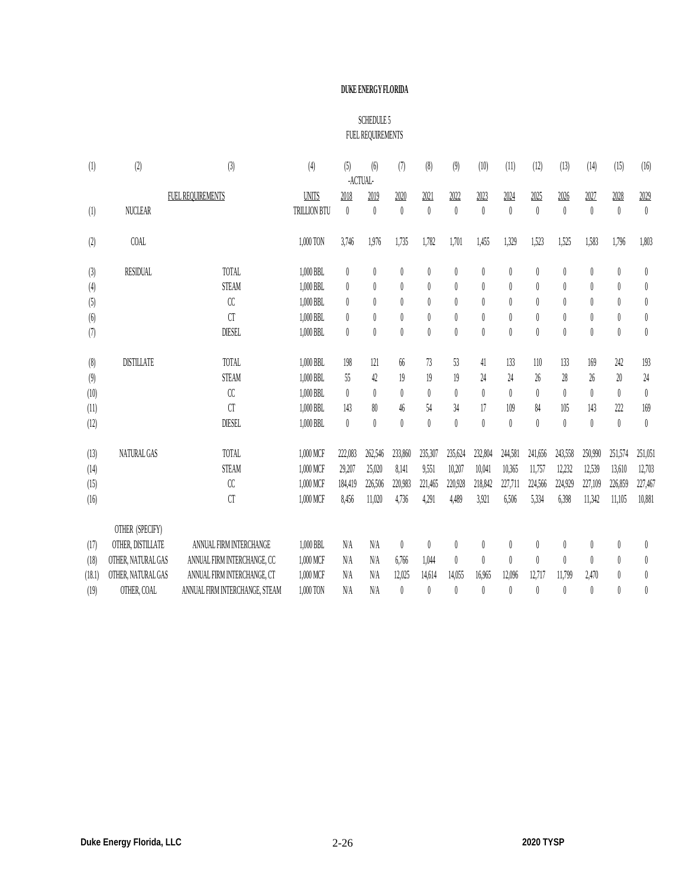### **DUKE ENERGY FLORIDA**

## SCHEDULE 5 FUEL REQUIREMENTS

| (1)    | (2)                | (3)                            | (4)          | (5)              | (6)<br>-ACTUAL-  | (7)              | (8)              | (9)              | (10)             | (11)             | (12)             | (13)             | (14)             | (15)             | (16)             |
|--------|--------------------|--------------------------------|--------------|------------------|------------------|------------------|------------------|------------------|------------------|------------------|------------------|------------------|------------------|------------------|------------------|
|        | FUEL REQUIREMENTS  | <b>UNITS</b>                   | 2018         | 2019             | 2020             | 2021             | 2022             | 2023             | 2024             | 2025             | 2026             | 2027             | 2028             | 2029             |                  |
| (1)    | <b>NUCLEAR</b>     |                                | TRILLION BTU | $\theta$         | $\theta$         | $\theta$         | $\theta$         | $\theta$         | $\boldsymbol{0}$ | $\theta$         | $\theta$         | $\theta$         | $\theta$         | $\theta$         | $\theta$         |
| $(2)$  | <b>COAL</b>        |                                | 1,000 TON    | 3,746            | 1,976            | 1,735            | 1,782            | 1,701            | 1,455            | 1,329            | 1,523            | 1,525            | 1,583            | 1,796            | 1,803            |
| (3)    | <b>RESIDUAL</b>    | TOTAL                          | 1,000 BBL    | $\boldsymbol{0}$ | 0                | $\theta$         | 0                | $\theta$         | $\boldsymbol{0}$ | 0                | $\theta$         | 0                | 0                | 0                | 0                |
| (4)    |                    | <b>STEAM</b>                   | 1,000 BBL    | $\boldsymbol{0}$ | $\theta$         | $\theta$         | $\theta$         | $\theta$         | $\boldsymbol{0}$ | $\boldsymbol{0}$ | $\theta$         | $\theta$         | $\boldsymbol{0}$ | 0                | $\pmb{0}$        |
| (5)    |                    | $\alpha$                       | 1,000 BBL    | $\boldsymbol{0}$ | $\theta$         | $\theta$         | $\theta$         | $\left( \right)$ | $\theta$         | $\theta$         | 0                | 0                | $\theta$         | $\theta$         | $\theta$         |
| $(6)$  |                    | <b>CT</b>                      | 1,000 BBL    | 0                | 0                | $\theta$         | $\theta$         | $\left( \right)$ | $\boldsymbol{0}$ | 0                | $\theta$         | $\left( \right)$ | 0                | 0                | $\theta$         |
| (7)    |                    | <b>DIESEL</b>                  | 1,000 BBL    | $\boldsymbol{0}$ | $\boldsymbol{0}$ | $\boldsymbol{0}$ | $\boldsymbol{0}$ | $\boldsymbol{0}$ | $\boldsymbol{0}$ | $\boldsymbol{0}$ | $\boldsymbol{0}$ | $\theta$         | $\boldsymbol{0}$ | $\boldsymbol{0}$ | $\boldsymbol{0}$ |
| (8)    | <b>DISTILLATE</b>  | TOTAL                          | 1,000 BBL    | 198              | 121              | 66               | 73               | 53               | 41               | 133              | 110              | 133              | 169              | 242              | 193              |
| (9)    |                    | <b>STEAM</b>                   | 1,000 BBL    | 55               | 42               | 19               | 19               | 19               | $24\,$           | 24               | 26               | 28               | 26               | 20               | $24\,$           |
| (10)   |                    | $\alpha$                       | 1,000 BBL    | $\boldsymbol{0}$ | $\theta$         | $\theta$         | $\theta$         | $\theta$         | $\boldsymbol{0}$ | $\theta$         | $\theta$         | 0                | $\theta$         | $\theta$         | $\boldsymbol{0}$ |
| (11)   |                    | <b>CT</b>                      | 1,000 BBL    | 143              | 80               | 46               | 54               | 34               | 17               | 109              | 84               | 105              | 143              | 222              | 169              |
| (12)   |                    | <b>DIESEL</b>                  | 1,000 BBL    | $\boldsymbol{0}$ | $\boldsymbol{0}$ | $\theta$         | $\theta$         | $\theta$         | $\boldsymbol{0}$ | $\theta$         | $\theta$         | 0                | $\boldsymbol{0}$ | $\boldsymbol{0}$ | $\boldsymbol{0}$ |
| (13)   | NATURAL GAS        | TOTAL                          | 1,000 MCF    | 222,083          | 262,546          | 233,860          | 235,307          | 235,624          | 232,804          | 244,581          | 241,656          | 243,558          | 250,990          | 251,574          | 251,051          |
| (14)   |                    | <b>STEAM</b>                   | 1,000 MCF    | 29,207           | 25,020           | 8,141            | 9,551            | 10,207           | 10,041           | 10,365           | 11,757           | 12,232           | 12,539           | 13,610           | 12,703           |
| (15)   |                    | $\alpha$                       | 1,000 MCF    | 184,419          | 226,506          | 220,983          | 221,465          | 220,928          | 218,842          | 227,711          | 224,566          | 224,929          | 227,109          | 226,859          | 227,467          |
| (16)   |                    | CT                             | 1,000 MCF    | 8,456            | 11,020           | 4,736            | 4,291            | 4,489            | 3,921            | 6,506            | 5,334            | 6,398            | 11,342           | 11,105           | 10,881           |
|        | OTHER (SPECIFY)    |                                |              |                  |                  |                  |                  |                  |                  |                  |                  |                  |                  |                  |                  |
| (17)   | OTHER, DISTILLATE  | ANNUAL FIRM INTERCHANGE        | 1,000 BBL    | N/A              | N/A              | $\theta$         | 0                | 0                | 0                | 0                | 0                | 0                | 0                | 0                | $\pmb{0}$        |
| (18)   | OTHER, NATURAL GAS | ANNUAL FIRM INTERCHANGE, CC    | 1,000 MCF    | N/A              | N/A              | 6,766            | 1,044            | $\theta$         | $\boldsymbol{0}$ | $\theta$         | $\theta$         | 0                | $\theta$         | $\theta$         | $\pmb{0}$        |
| (18.1) | OTHER, NATURAL GAS | ANNUAL FIRM INTERCHANGE, CT    | 1,000 MCF    | N/A              | N/A              | 12,025           | 14,614           | 14,055           | 16,965           | 12,096           | 12,717           | 11,799           | 2,470            | 0                | $\pmb{0}$        |
| (19)   | OTHER, COAL        | ANNUAL FIRM INTERCHANGE, STEAM | 1,000 TON    | N/A              | N/A              | $\theta$         | $\theta$         | $\theta$         | $\theta$         | $\theta$         | $\theta$         | 0                | $\theta$         | $\theta$         | $\theta$         |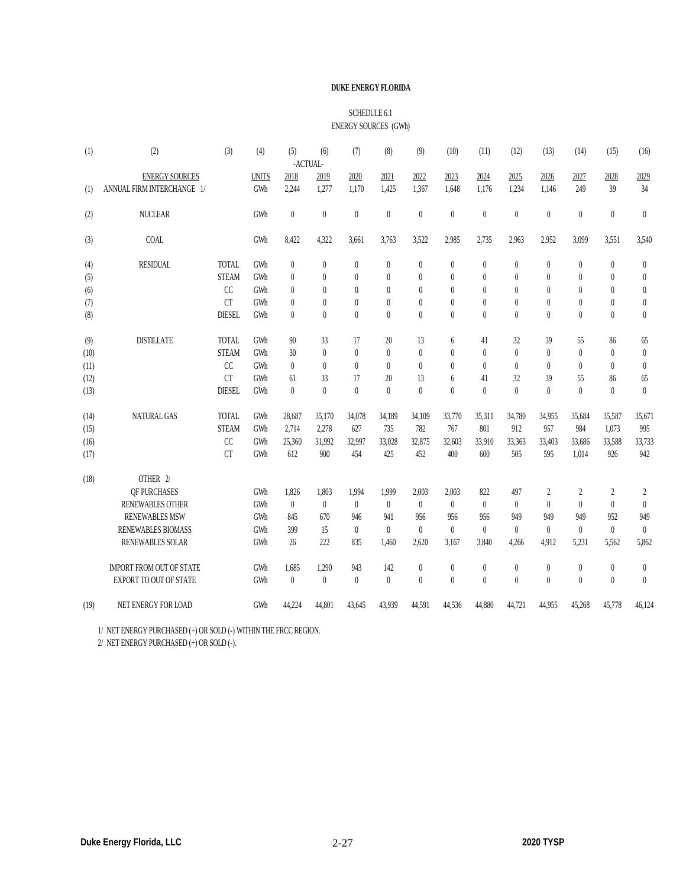#### **DUKE ENERGY FLORIDA**

#### SCHEDULE 6.1 ENERGY SOURCES (GWh)

| (1)  | (2)                             | (3)           | (4)          | (5)          | (6)<br>-ACTUAL- | (7)          | (8)      | (9)              | (10)             | (11)         | (12)         | (13)             | (14)             | (15)           | (16)           |
|------|---------------------------------|---------------|--------------|--------------|-----------------|--------------|----------|------------------|------------------|--------------|--------------|------------------|------------------|----------------|----------------|
|      | <b>ENERGY SOURCES</b>           |               | <b>UNITS</b> | 2018         | 2019            | 2020         | 2021     | 2022             | 2023             | 2024         | 2025         | 2026             | 2027             | 2028           |                |
| (1)  | ANNUAL FIRM INTERCHANGE 1/      |               | GWh          | 2.244        | 1,277           | 1.170        | 1,425    | 1,367            | 1,648            | 1.176        | 1.234        | 1.146            | 249              | 39             | 2029<br>34     |
|      |                                 |               |              |              |                 |              |          |                  |                  |              |              |                  |                  |                |                |
| (2)  | <b>NUCLEAR</b>                  |               | GWh          | $\mathbf{0}$ | $\theta$        | $\theta$     | $\theta$ | $\theta$         | $\boldsymbol{0}$ | $\theta$     | $\mathbf{0}$ | $\boldsymbol{0}$ | $\mathbf{0}$     | $\mathbf{0}$   | $\theta$       |
| (3)  | COAL                            |               | GWh          | 8,422        | 4,322           | 3,661        | 3,763    | 3,522            | 2,985            | 2,735        | 2,963        | 2,952            | 3,099            | 3,551          | 3,540          |
| (4)  | <b>RESIDUAL</b>                 | <b>TOTAL</b>  | GWh          | $\mathbf{0}$ | $\theta$        | $\mathbf{0}$ | $\theta$ | $\theta$         | $\boldsymbol{0}$ | $\theta$     | $\theta$     | 0                | $\theta$         | $\theta$       | $\theta$       |
| (5)  |                                 | <b>STEAM</b>  | GWh          | $\mathbf{0}$ | $\theta$        | $\theta$     | $\theta$ | $\theta$         | $\boldsymbol{0}$ | $\theta$     | $\theta$     | 0                | $\theta$         | $\theta$       | $\theta$       |
| (6)  |                                 | CC            | GWh          | $\theta$     | $\theta$        | $\theta$     | $\theta$ | $\theta$         | $\theta$         | $\theta$     | $\theta$     | 0                | $\theta$         | $\theta$       | $\theta$       |
| (7)  |                                 | <b>CT</b>     | GWh          | $\theta$     | $\theta$        | $\theta$     | $\theta$ | $\theta$         | $\mathbf{0}$     | $\theta$     | $\theta$     | $\theta$         | $\theta$         | $\theta$       | $\theta$       |
| (8)  |                                 | <b>DIESEL</b> | GWh          | $\theta$     | $\theta$        | $\theta$     | $\theta$ | $\mathbf{0}$     | $\mathbf{0}$     | $\theta$     | $\theta$     | $\theta$         | $\theta$         | $\theta$       | $\overline{0}$ |
| (9)  | <b>DISTILLATE</b>               | <b>TOTAL</b>  | GWh          | 90           | 33              | 17           | 20       | 13               | 6                | 41           | 32           | 39               | 55               | 86             | 65             |
| (10) |                                 | <b>STEAM</b>  | GWh          | 30           | $\theta$        | $\theta$     | $\theta$ | $\mathbf{0}$     | $\theta$         | $\theta$     | $\theta$     | $\theta$         | $\theta$         | $\theta$       | $\theta$       |
| (11) |                                 | CC            | GWh          | $\theta$     | $\theta$        | $\theta$     | $\theta$ | $\theta$         | $\theta$         | $\theta$     | $\theta$     | $\theta$         | $\theta$         | $\theta$       | $\theta$       |
| (12) |                                 | <b>CT</b>     | GWh          | 61           | 33              | 17           | 20       | 13               | 6                | 41           | 32           | 39               | 55               | 86             | 65             |
| (13) |                                 | <b>DIESEL</b> | GWh          | $\theta$     | $\theta$        | $\theta$     | $\theta$ | $\mathbf{0}$     | $\overline{0}$   | $\theta$     | $\theta$     | $\theta$         | $\theta$         | $\theta$       | $\theta$       |
| (14) | NATURAL GAS                     | <b>TOTAL</b>  | GWh          | 28,687       | 35,170          | 34,078       | 34,189   | 34,109           | 33,770           | 35,311       | 34,780       | 34,955           | 35,684           | 35,587         | 35,671         |
| (15) |                                 | <b>STEAM</b>  | GWh          | 2,714        | 2,278           | 627          | 735      | 782              | 767              | 801          | 912          | 957              | 984              | 1,073          | 995            |
| (16) |                                 | CC            | GWh          | 25,360       | 31,992          | 32,997       | 33,028   | 32,875           | 32,603           | 33,910       | 33,363       | 33,403           | 33,686           | 33,588         | 33,733         |
| (17) |                                 | <b>CT</b>     | GWh          | 612          | 900             | 454          | 425      | 452              | 400              | 600          | 505          | 595              | 1.014            | 926            | 942            |
| (18) | OTHER 2/                        |               |              |              |                 |              |          |                  |                  |              |              |                  |                  |                |                |
|      | OF PURCHASES                    |               | GWh          | 1,826        | 1,803           | 1,994        | 1,999    | 2,003            | 2,003            | 822          | 497          | 2                | $\overline{c}$   | $\overline{2}$ | 2              |
|      | <b>RENEWABLES OTHER</b>         |               | GWh          | $\mathbf{0}$ | $\theta$        | $\mathbf{0}$ | $\theta$ | $\theta$         | $\theta$         | $\mathbf{0}$ | $\theta$     | $\theta$         | $\theta$         | $\theta$       | $\theta$       |
|      | <b>RENEWABLES MSW</b>           |               | GWh          | 845          | 670             | 946          | 941      | 956              | 956              | 956          | 949          | 949              | 949              | 952            | 949            |
|      | <b>RENEWABLES BIOMASS</b>       |               | GWh          | 399          | 15              | $\theta$     | $\theta$ | $\theta$         | $\boldsymbol{0}$ | $\mathbf{0}$ | $\theta$     | $\theta$         | $\theta$         | $\mathbf{0}$   | $\mathbf{0}$   |
|      | <b>RENEWABLES SOLAR</b>         |               | GWh          | 26           | 222             | 835          | 1.460    | 2,620            | 3,167            | 3,840        | 4.266        | 4.912            | 5.231            | 5.562          | 5,862          |
|      | <b>IMPORT FROM OUT OF STATE</b> |               | GWh          | 1,685        | 1,290           | 943          | 142      | $\boldsymbol{0}$ | $\boldsymbol{0}$ | $\theta$     | $\theta$     | $\boldsymbol{0}$ | $\boldsymbol{0}$ | $\theta$       | $\bf{0}$       |
|      | <b>EXPORT TO OUT OF STATE</b>   |               | GWh          | $\theta$     | $\theta$        | $\theta$     | $\theta$ | $\theta$         | $\theta$         | $\theta$     | $\theta$     | $\theta$         | $\theta$         | $\theta$       | $\mathbf{0}$   |
| (19) | NET ENERGY FOR LOAD             |               | GWh          | 44,224       | 44,801          | 43,645       | 43,939   | 44,591           | 44,536           | 44,880       | 44,721       | 44,955           | 45,268           | 45,778         | 46,124         |
|      |                                 |               |              |              |                 |              |          |                  |                  |              |              |                  |                  |                |                |

1/ NET ENERGY PURCHASED (+) OR SOLD (-) WITHIN THE FRCC REGION.

2/ NET ENERGY PURCHASED (+) OR SOLD (-).